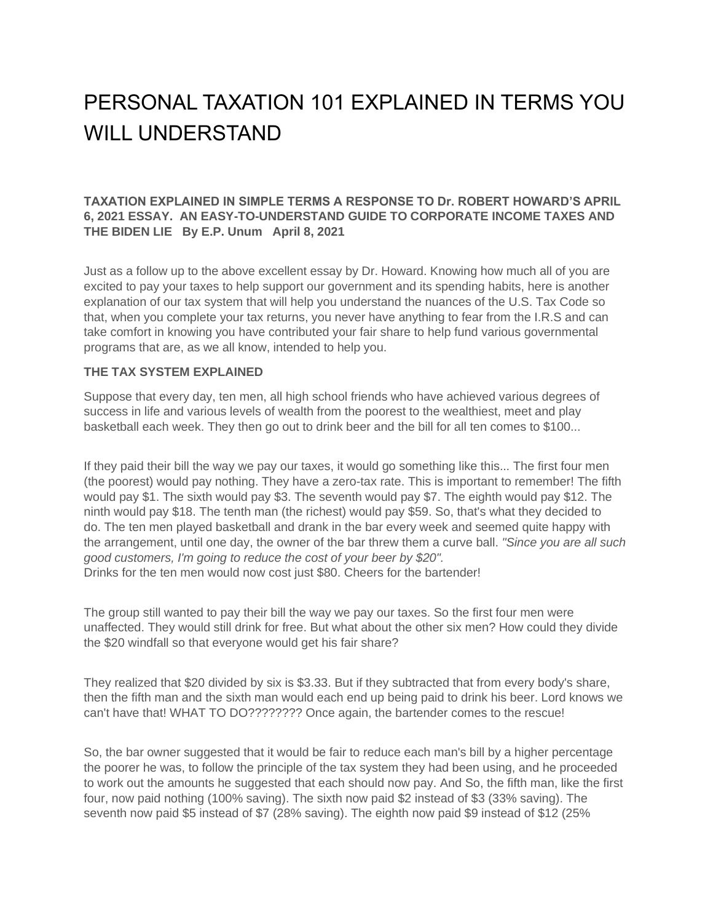## PERSONAL TAXATION 101 EXPLAINED IN TERMS YOU WILL UNDERSTAND

## **TAXATION EXPLAINED IN SIMPLE TERMS A RESPONSE TO Dr. ROBERT HOWARD'S APRIL 6, 2021 ESSAY. AN EASY-TO-UNDERSTAND GUIDE TO CORPORATE INCOME TAXES AND THE BIDEN LIE By E.P. Unum April 8, 2021**

Just as a follow up to the above excellent essay by Dr. Howard. Knowing how much all of you are excited to pay your taxes to help support our government and its spending habits, here is another explanation of our tax system that will help you understand the nuances of the U.S. Tax Code so that, when you complete your tax returns, you never have anything to fear from the I.R.S and can take comfort in knowing you have contributed your fair share to help fund various governmental programs that are, as we all know, intended to help you.

## **THE TAX SYSTEM EXPLAINED**

Suppose that every day, ten men, all high school friends who have achieved various degrees of success in life and various levels of wealth from the poorest to the wealthiest, meet and play basketball each week. They then go out to drink beer and the bill for all ten comes to \$100...

If they paid their bill the way we pay our taxes, it would go something like this... The first four men (the poorest) would pay nothing. They have a zero-tax rate. This is important to remember! The fifth would pay \$1. The sixth would pay \$3. The seventh would pay \$7. The eighth would pay \$12. The ninth would pay \$18. The tenth man (the richest) would pay \$59. So, that's what they decided to do. The ten men played basketball and drank in the bar every week and seemed quite happy with the arrangement, until one day, the owner of the bar threw them a curve ball. *"Since you are all such good customers, I'm going to reduce the cost of your beer by \$20".* Drinks for the ten men would now cost just \$80. Cheers for the bartender!

The group still wanted to pay their bill the way we pay our taxes. So the first four men were unaffected. They would still drink for free. But what about the other six men? How could they divide the \$20 windfall so that everyone would get his fair share?

They realized that \$20 divided by six is \$3.33. But if they subtracted that from every body's share, then the fifth man and the sixth man would each end up being paid to drink his beer. Lord knows we can't have that! WHAT TO DO???????? Once again, the bartender comes to the rescue!

So, the bar owner suggested that it would be fair to reduce each man's bill by a higher percentage the poorer he was, to follow the principle of the tax system they had been using, and he proceeded to work out the amounts he suggested that each should now pay. And So, the fifth man, like the first four, now paid nothing (100% saving). The sixth now paid \$2 instead of \$3 (33% saving). The seventh now paid \$5 instead of \$7 (28% saving). The eighth now paid \$9 instead of \$12 (25%